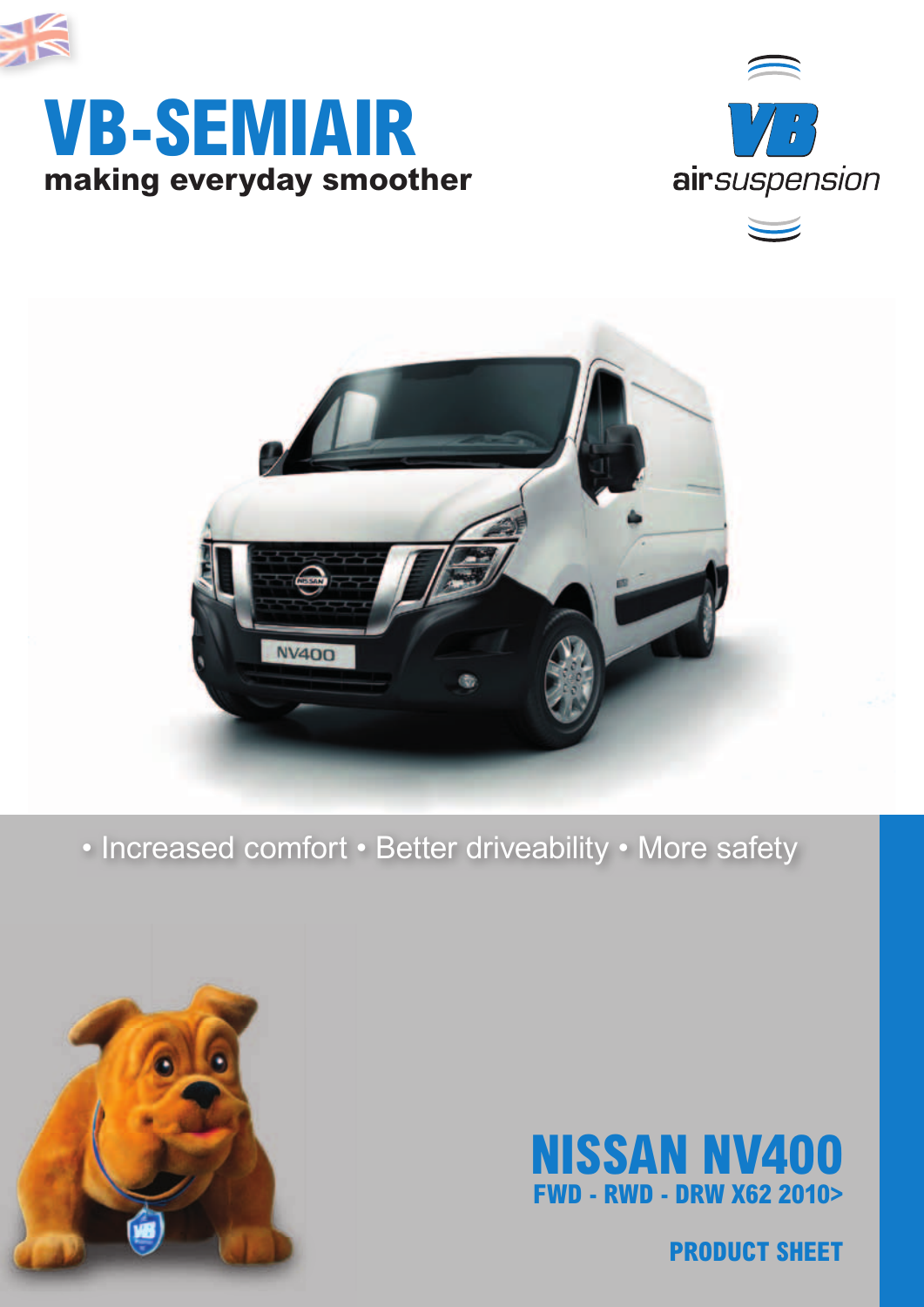

## **making everyday smoother VB-SEMIAIR**



 $\overline{\phantom{0}}$ 



### • Increased comfort • Better driveability • More safety





**PRODUCT SHEET**